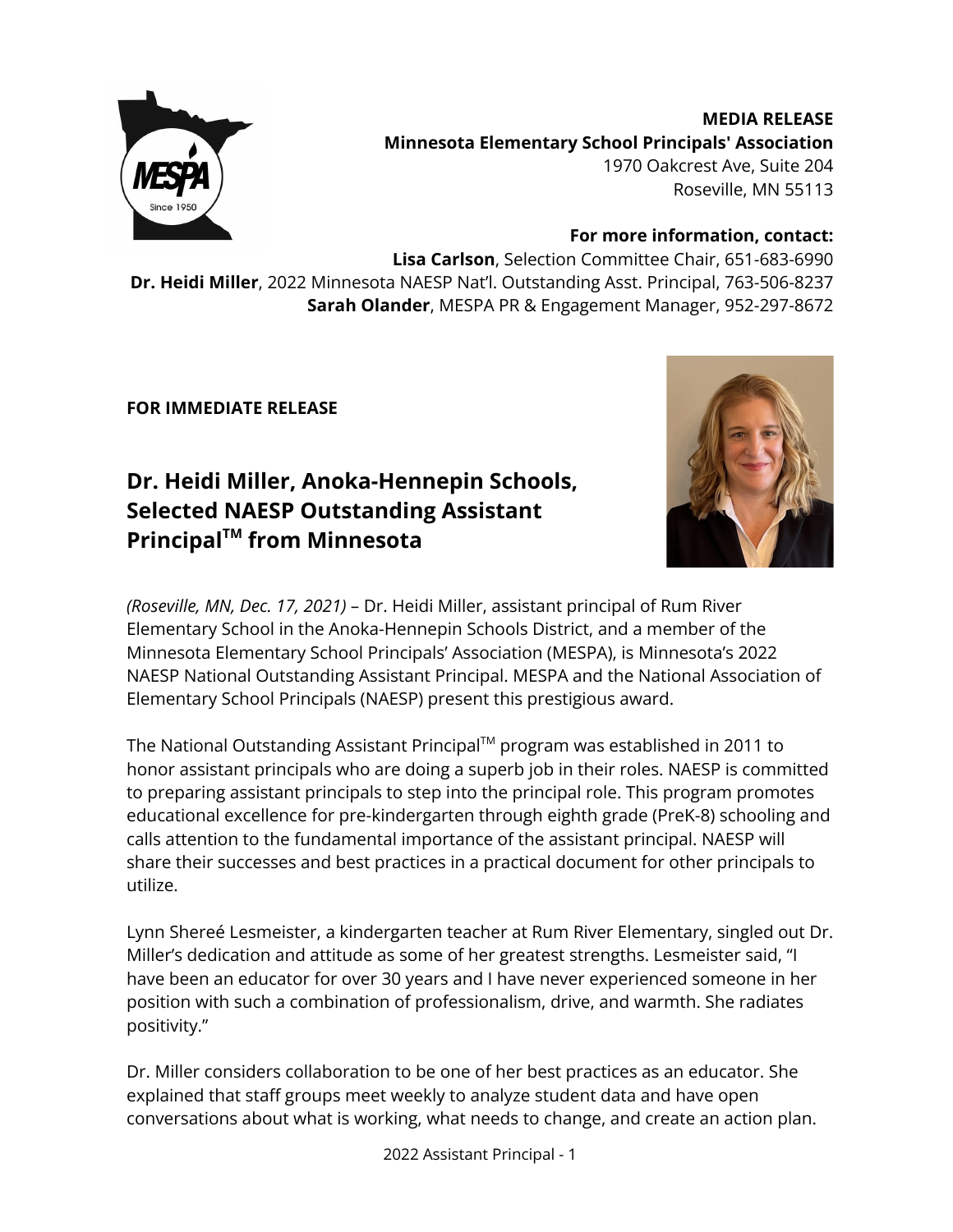

**MEDIA RELEASE Minnesota Elementary School Principals' Association** 1970 Oakcrest Ave, Suite 204 Roseville, MN 55113

**For more information, contact:**

**Lisa Carlson**, Selection Committee Chair, 651-683-6990 **Dr. Heidi Miller**, 2022 Minnesota NAESP Nat'l. Outstanding Asst. Principal, 763-506-8237 **Sarah Olander**, MESPA PR & Engagement Manager, 952-297-8672

**FOR IMMEDIATE RELEASE**

## **Dr. Heidi Miller, Anoka-Hennepin Schools, Selected NAESP Outstanding Assistant Principal TM from Minnesota**



*(Roseville, MN, Dec. 17, 2021)* – Dr. Heidi Miller, assistant principal of Rum River Elementary School in the Anoka-Hennepin Schools District, and a member of the Minnesota Elementary School Principals' Association (MESPA), is Minnesota's 2022 NAESP National Outstanding Assistant Principal. MESPA and the National Association of Elementary School Principals (NAESP) present this prestigious award.

The National Outstanding Assistant Principal™ program was established in 2011 to honor assistant principals who are doing a superb job in their roles. NAESP is committed to preparing assistant principals to step into the principal role. This program promotes educational excellence for pre-kindergarten through eighth grade (PreK-8) schooling and calls attention to the fundamental importance of the assistant principal. NAESP will share their successes and best practices in a practical document for other principals to utilize.

Lynn Shereé Lesmeister, a kindergarten teacher at Rum River Elementary, singled out Dr. Miller's dedication and attitude as some of her greatest strengths. Lesmeister said, "I have been an educator for over 30 years and I have never experienced someone in her position with such a combination of professionalism, drive, and warmth. She radiates positivity."

Dr. Miller considers collaboration to be one of her best practices as an educator. She explained that staff groups meet weekly to analyze student data and have open conversations about what is working, what needs to change, and create an action plan.

2022 Assistant Principal - 1